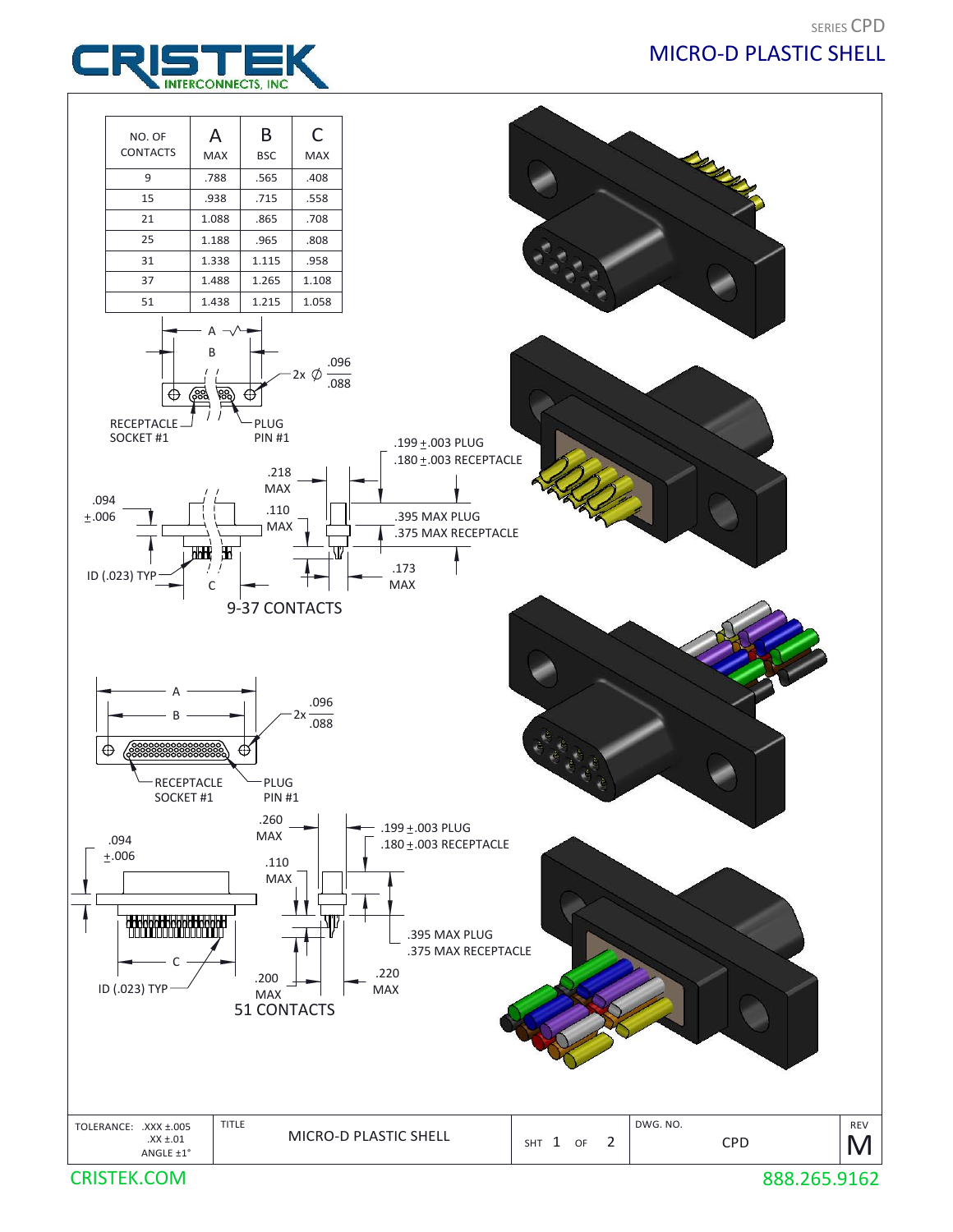

CRISTEK.COM 888.265.9162

## SERIES CPD MICRO‐D PLASTIC SHELL